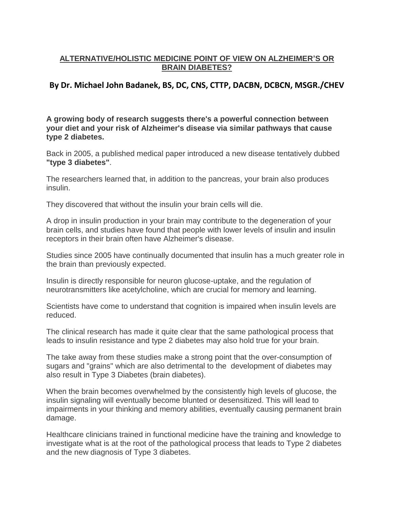## **ALTERNATIVE/HOLISTIC MEDICINE POINT OF VIEW ON ALZHEIMER'S OR BRAIN DIABETES?**

## **By Dr. Michael John Badanek, BS, DC, CNS, CTTP, DACBN, DCBCN, MSGR./CHEV**

**A growing body of research suggests there's a powerful connection between your diet and your risk of Alzheimer's disease via similar pathways that cause type 2 diabetes.** 

Back in 2005, a published medical paper introduced a new disease tentatively dubbed **"type 3 diabetes"**.

The researchers learned that, in addition to the pancreas, your brain also produces insulin.

They discovered that without the insulin your brain cells will die.

A drop in insulin production in your brain may contribute to the degeneration of your brain cells, and studies have found that people with lower levels of insulin and insulin receptors in their brain often have Alzheimer's disease.

Studies since 2005 have continually documented that insulin has a much greater role in the brain than previously expected.

Insulin is directly responsible for neuron glucose-uptake, and the regulation of neurotransmitters like acetylcholine, which are crucial for memory and learning.

Scientists have come to understand that cognition is impaired when insulin levels are reduced.

The clinical research has made it quite clear that the same pathological process that leads to insulin resistance and type 2 diabetes may also hold true for your brain.

The take away from these studies make a strong point that the over-consumption of sugars and "grains" which are also detrimental to the development of diabetes may also result in Type 3 Diabetes (brain diabetes).

When the brain becomes overwhelmed by the consistently high levels of glucose, the insulin signaling will eventually become blunted or desensitized. This will lead to impairments in your thinking and memory abilities, eventually causing permanent brain damage.

Healthcare clinicians trained in functional medicine have the training and knowledge to investigate what is at the root of the pathological process that leads to Type 2 diabetes and the new diagnosis of Type 3 diabetes.